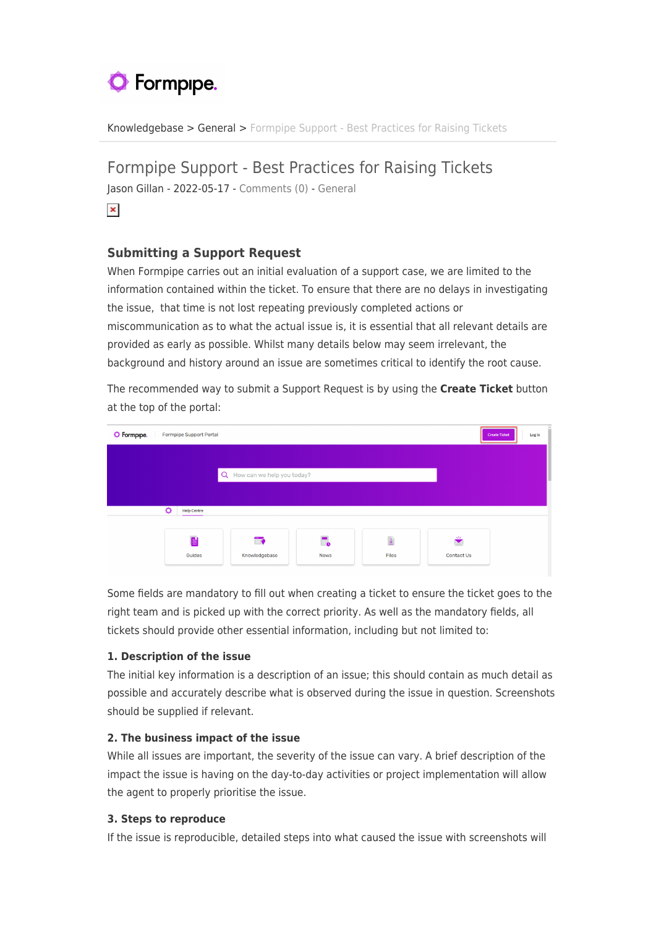# **O** Formpipe.

[Knowledgebase](https://support.formpipe.com/kb) > [General](https://support.formpipe.com/kb/general) > [Formpipe Support - Best Practices for Raising Tickets](https://support.formpipe.com/kb/articles/formpipe-support-best-practices-for-raising-tickets)

# Formpipe Support - Best Practices for Raising Tickets

Jason Gillan - 2022-05-17 - [Comments \(0\)](#page--1-0) - [General](https://support.formpipe.com/kb/general)

## $\pmb{\times}$

## **Submitting a Support Request**

When Formpipe carries out an initial evaluation of a support case, we are limited to the information contained within the ticket. To ensure that there are no delays in investigating the issue, that time is not lost repeating previously completed actions or miscommunication as to what the actual issue is, it is essential that all relevant details are provided as early as possible. Whilst many details below may seem irrelevant, the background and history around an issue are sometimes critical to identify the root cause.

The recommended way to submit a Support Request is by using the **Create Ticket** button at the top of the portal:

| <b>O</b> Formpipe. | Formpipe Support Portal      |                |             |                       |              | Log in<br><b>Create Ticket</b> |
|--------------------|------------------------------|----------------|-------------|-----------------------|--------------|--------------------------------|
|                    |                              |                |             |                       |              |                                |
|                    | Q How can we help you today? |                |             |                       |              |                                |
|                    |                              |                |             |                       |              |                                |
|                    | ە<br><b>Help Centre</b>      |                |             |                       |              |                                |
|                    | E                            | $\blacksquare$ | E.          | $\overline{\uparrow}$ | $\mathbf{v}$ |                                |
|                    | Guides                       | Knowledgebase  | <b>News</b> | Files                 | Contact Us   |                                |

Some fields are mandatory to fill out when creating a ticket to ensure the ticket goes to the right team and is picked up with the correct priority. As well as the mandatory fields, all tickets should provide other essential information, including but not limited to:

#### **1. Description of the issue**

The initial key information is a description of an issue; this should contain as much detail as possible and accurately describe what is observed during the issue in question. Screenshots should be supplied if relevant.

#### **2. The business impact of the issue**

While all issues are important, the severity of the issue can vary. A brief description of the impact the issue is having on the day-to-day activities or project implementation will allow the agent to properly prioritise the issue.

#### **3. Steps to reproduce**

If the issue is reproducible, detailed steps into what caused the issue with screenshots will